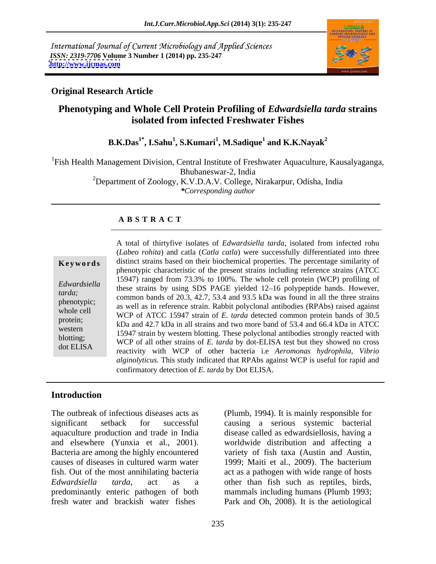International Journal of Current Microbiology and Applied Sciences *ISSN: 2319-7706* **Volume 3 Number 1 (2014) pp. 235-247 <http://www.ijcmas.com>**



### **Original Research Article**

# **Phenotyping and Whole Cell Protein Profiling of** *Edwardsiella tarda* **strains isolated from infected Freshwater Fishes**

### **B.K.Das1\* , I.Sahu<sup>1</sup> , S.Kumari<sup>1</sup> , M.Sadique<sup>1</sup> and K.K.Nayak<sup>2</sup>**

<sup>1</sup>Fish Health Management Division, Central Institute of Freshwater Aquaculture, Kausalyaganga, Bhubaneswar-2, India

<sup>2</sup>Department of Zoology, K.V.D.A.V. College, Nirakarpur, Odisha, India *\*Corresponding author*

### **A B S T R A C T**

**Keywords** distinct strains based on their biochemical properties. The percentage similarity of *Edwardsiella* these strains by using SDS PAGE yielded 12–16 polypeptide bands. However, *tarda;*common bands of 20.3, 42.7, 53.4 and 93.5 kDa was found in all the three strains phenotypic;<br>as well as in reference strain. Rabbit polyclonal antibodies (RPAbs) raised against whole cell WCP of ATCC 15947 strain of *E. tarda* detected common protein bands of 30.5 protein;<br>
kDa and 42.7 kDa in all strains and two more band of 53.4 and 66.4 kDa in ATCC western  $15947$  strain by western blotting. These polyclonal antibodies strongly reacted with blotting;<br>WCP of all other strains of *E. tarda* by dot-ELISA test but they showed no cross dot ELISA reactivity with WCP of other bacteria i.e *Aeromonas hydrophila, Vibrio* A total of thirtyfive isolates of *Edwardsiella tarda*, isolated from infected rohu (*Labeo rohita*) and catla (*Catla catla*) were successfully differentiated into three phenotypic characteristic of the present strains including reference strains (ATCC 15947) ranged from 73.3% to 100%. The whole cell protein (WCP) profiling of *alginolyticus.* This study indicated that RPAbs against WCP is usefulfor rapid and confirmatory detection of *E. tarda* by Dot ELISA.

### **Introduction**

The outbreak of infectious diseases acts as (Plumb, 1994). It is mainly responsible for significant setback for successful causing a serious systemic bacterial aquaculture production and trade in India disease called as edwardsiellosis, having a and elsewhere (Yunxia et al., 2001). worldwide distribution and affecting a Bacteria are among the highly encountered variety of fish taxa (Austin and Austin, causes of diseases in cultured warm water 1999; Maiti et al., 2009).The bacterium fish. Out of the most annihilating bacteria act as apathogen with wide range of hosts *Edwardsiella tarda*, act as a other than fish such as reptiles, birds, predominantly enteric pathogen of both fresh water and brackish water fishes Park and Oh, 2008). It is the aetiological

mammals including humans (Plumb 1993;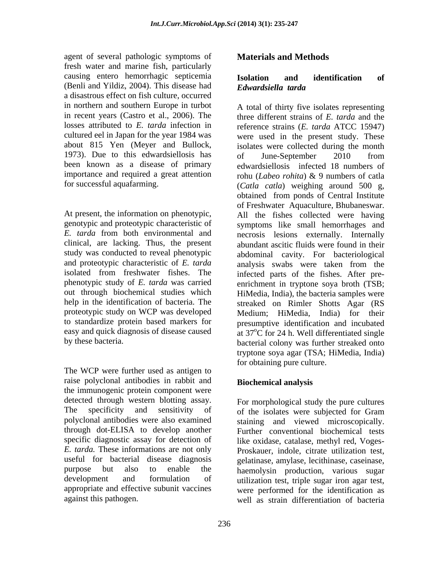agent of several pathologic symptoms of fresh water and marine fish, particularly causing entero hemorrhagic septicemia Isolation and identification of (Benli and Yildiz, 2004). This disease had Edwardsiella tarda a disastrous effect on fish culture, occurred in northern and southern Europe in turbot in recent years (Castro et al., 2006). The cultured eel in Japan for the year 1984 was 1973). Due to this edwardsiellosis has of June-September 2010 from been known as a disease of primary

At present, the information on phenotypic, and proteotypic characteristic of *E. tarda* analysis swabs were taken from the

The WCP were further used as antigen to raise polyclonal antibodies in rabbit and the immunogenic protein component were detected through western blotting assay. The specificity and sensitivity of of the isolates were subjected for Gram polyclonal antibodies were also examined staining and viewed microscopically. through dot-ELISA to develop another Further conventional biochemical tests specific diagnostic assay for detection of like oxidase, catalase, methyl red, Voges- *E. tarda.* These informations are not only useful for bacterial disease diagnosis gelatinase, amylase, lecithinase, caseinase, purpose but also to enable the haemolysin production, various sugar development and formulation of utilization test, triple sugar iron agar test, appropriate and effective subunit vaccines were performed for the identification as

### **Materials and Methods**

### **Isolation and identification of** *Edwardsiella tarda*

losses attributed to *E. tarda* infection in reference strains (*E. tarda* ATCC 15947) about 815 Yen (Meyer and Bullock, isolates were collected during the month importance and required a great attention rohu (*Labeo rohita*) & 9 numbers of catla for successful aquafarming. (*Catla catla*) weighing around 500 g, genotypic and proteotypic characteristic of symptoms like small hemorrhages and *E. tarda* from both environmental and necrosis lesions externally. Internally clinical, are lacking. Thus, the present abundant ascitic fluids were found in their study was conducted to reveal phenotypic abdominal cavity. For bacteriological isolated from freshwater fishes. The infected parts of the fishes. After pre phenotypic study of *E. tarda* was carried enrichment in tryptone soya broth (TSB; out through biochemical studies which HiMedia, India), the bacteria samples were help in the identification of bacteria. The streaked on Rimler Shotts Agar (RS proteotypic study on WCP was developed Medium; HiMedia, India) for their to standardize protein based markers for presumptive identification and incubated easy and quick diagnosis of disease caused  $\frac{1}{2}$  at 37<sup>o</sup>C for 24 h. Well differentiated single by these bacteria. bacterial colony was further streaked onto A total of thirty five isolates representing three different strains of *E. tarda* and the were used in the present study. These of June-September 2010 from edwardsiellosis infected 18 numbers of obtained from ponds of Central Institute of Freshwater Aquaculture, Bhubaneswar. All the fishes collected were having analysis swabs were taken from the tryptone soya agar (TSA; HiMedia, India) for obtaining pure culture.

### **Biochemical analysis**

against this pathogen. well as strain differentiation of bacteriaFor morphological study the pure cultures of the isolates were subjected for Gram Proskauer, indole, citrate utilization test,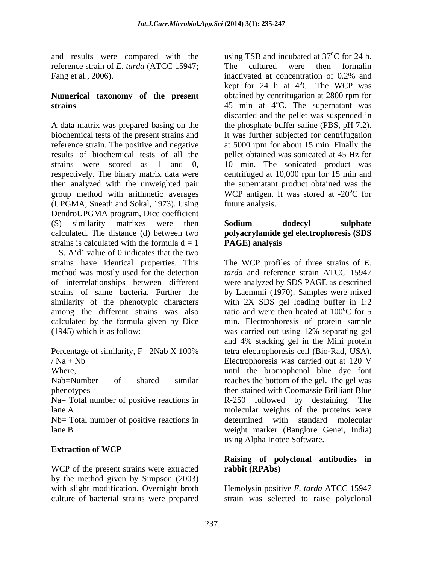and results were compared with the reference strain of *E. tarda* (ATCC 15947; Fang et al., 2006). The inactivated at concentration of 0.2% and

A data matrix was prepared basing on the the phosphate buffer saline (PBS, pH 7.2). biochemical tests of the present strains and reference strain. The positive and negative at 5000 rpm for about 15 min. Finally the results of biochemical tests of all the strains were scored as 1 and 0, 10 min. The sonicated product was respectively. The binary matrix data were centrifuged at 10,000 rpm for 15 min and then analyzed with the unweighted pair group method with arithmetic averages (UPGMA; Sneath and Sokal, 1973). Using DendroUPGMA program, Dice coefficient (S) similarity matrixes were then **Sodium dodecyl sulphate** calculated. The distance (d) between two **polyacrylamide gel electrophoresis (SDS** strains is calculated with the formula  $d = 1$  **PAGE) analysis**  $-S. A'd'$  value of 0 indicates that the two strains have identical properties. This The WCP profiles of three strains of *E.*  method was mostly used for the detection of interrelationships between different were analyzed by SDS PAGE as described strains of same bacteria. Further the by Laemmli (1970). Samples were mixed similarity of the phenotypic characters with 2X SDS gel loading buffer in 1:2 among the different strains was also calculated by the formula given by Dice min. Electrophoresis of protein sample

Nab=Number of shared similar reaches the bottom of the gel. The gel was

Na= Total number of positive reactions in R-250 followed by destaining. The

Nb= Total number of positive reactions in

### **Extraction of WCP**

WCP of the present strains were extracted rabbit (RPAbs) by the method given by Simpson (2003) with slight modification. Overnight broth Hemolysin positive *E. tarda* ATCC 15947

**Numerical taxonomy of the present** obtained by centrifugation at 2800 rpm for strains 15 min at 4<sup>o</sup>C. The supernatant was using TSB and incubated at 37<sup>o</sup>C for 24 h.  $\rm{^{\circ}C}$  for 24 h. The cultured were then formalin inactivated at concentration of 0.2% and kept for  $24$  h at  $4^{\circ}$ C. The WCP was <sup>o</sup>C. The WCP was discarded and the pellet was suspended in It was further subjected for centrifugation pellet obtained was sonicated at 45 Hz for the supernatant product obtained was the WCP antigen. It was stored at  $-20^{\circ}$ C for future analysis.

# **Sodium dodecyl sulphate PAGE) analysis**

(1945) which is as follow: was carried out using 12% separating gel Percentage of similarity, F= 2Nab X 100% tetra electrophoresis cell (Bio-Rad, USA). / Na + Nb Electrophoresis was carried out at 120 V Where, until the bromophenol blue dye font phenotypes then stained with Coomassie Brilliant Blue lane A molecular weights of the proteins were lane B weight marker (Banglore Genei, India) *tarda* and reference strain ATCC 15947 ratio and were then heated at 100<sup>o</sup>C for 5  $\rm{^oC}$  for 5 and 4% stacking gel in the Mini protein tetra electrophoresis cell (Bio-Rad, USA). reaches the bottom of the gel. The gel was  $R-250$  followed by destaining. determined with standard molecular using Alpha Inotec Software.

### **Raising of polyclonal antibodies in rabbit (RPAbs)**

culture of bacterial strains were prepared strain was selected to raise polyclonal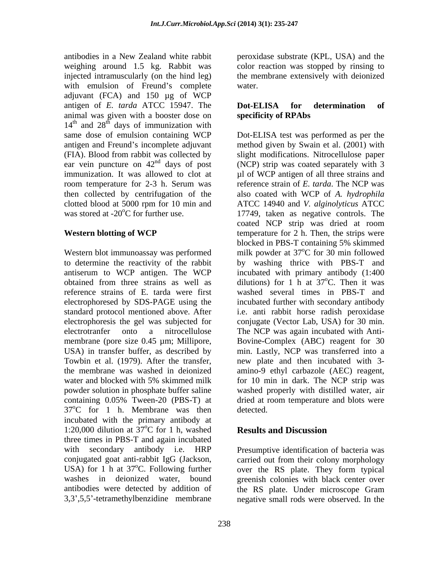antibodies in a New Zealand white rabbit peroxidase substrate (KPL, USA) and the weighing around 1.5 kg. Rabbit was color reaction was stopped by rinsing to injected intramuscularly (on the hind leg) the membrane extensively with deionized with emulsion of Freund's complete water. adjuvant (FCA) and 150 µg of WCP antigen of *E. tarda* ATCC 15947. The animal was given with a booster dose on **specificity of RPAbs**  $14<sup>th</sup>$  and  $28<sup>th</sup>$  days of immunization with same dose of emulsion containing WCP immunization. It was allowed to clot at room temperature for 2-3 h. Serum was

antiserum to WCP antigen. The WCP standard protocol mentioned above. After powder solution in phosphate buffer saline  $37^{\circ}$ C for 1 h. Membrane was then detected. incubated with the primary antibody at 1:20,000 dilution at  $37^{\circ}$ C for 1 h, washed **Results and Discussion** three times in PBS-T and again incubated with secondary antibody i.e. HRP Presumptive identification of bacteria was conjugated goat anti-rabbit IgG (Jackson, carried out from their colony morphology USA) for 1 h at  $37^{\circ}$ C. Following further over the RS plate. They form typical washes in deionized water, bound greenish colonies with black center over antibodies were detected by addition of the RS plate. Under microscope Gram 3,3 ,5,5 -tetramethylbenzidine membrane negative small rods were observed. In the

water.

### **Dot-ELISA for determination of specificity of RPAbs**

antigen and Freund's incomplete adjuvant method given by Swain et al. (2001) with (FIA). Blood from rabbit was collected by slight modifications. Nitrocellulose paper ear vein puncture on  $42<sup>nd</sup>$  days of post (NCP) strip was coated separately with 3 then collected by centrifugation of the also coated with WCP of *A. hydrophila* clotted blood at 5000 rpm for 10 min and ATCC 14940 and *V. alginolyticus* ATCC was stored at  $-20^{\circ}$ C for further use. 17749, taken as negative controls. The **Western blotting of WCP** temperature for 2 h. Then, the strips were Western blot immunoassay was performed milk powder at 37<sup>o</sup>C for 30 min followed to determine the reactivity of the rabbit by washing thrice with PBS-T and obtained from three strains as well as  $\ldots$  dilutions) for 1 h at 37<sup>o</sup>C. Then it was reference strains of E. tarda were first washed several times in PBS-T and electrophoresed by SDS-PAGE using the incubated further with secondary antibody electrophoresis the gel was subjected for conjugate (Vector Lab, USA) for 30 min. electrotranfer onto a nitrocellulose The NCP was again incubated with Anti membrane (pore size 0.45 µm; Millipore, Bovine-Complex (ABC) reagent for 30 USA) in transfer buffer, as described by min. Lastly, NCP was transferred into a Towbin et al. (1979). After the transfer, new plate and then incubated with 3 the membrane was washed in deionized amino-9 ethyl carbazole (AEC) reagent, water and blocked with 5% skimmed milk for 10 min in dark. The NCP strip was containing 0.05% Tween-20 (PBS-T) at Dot-ELISA test was performed as per the µl of WCP antigen of all three strains and reference strain of *E. tarda*. The NCP was coated NCP strip was dried at room blocked in PBS-T containing 5% skimmed oC for 30 min followed incubated with primary antibody (1:400 <sup>o</sup>C. Then it was i.e. anti rabbit horse radish peroxidase for 10 min in dark. The NCP strip was washed properly with distilled water, air dried at room temperature and blots were detected.

### $\rm{^{\circ}C}$  for 1 h, washed **Results and Discussion Results and Discussion**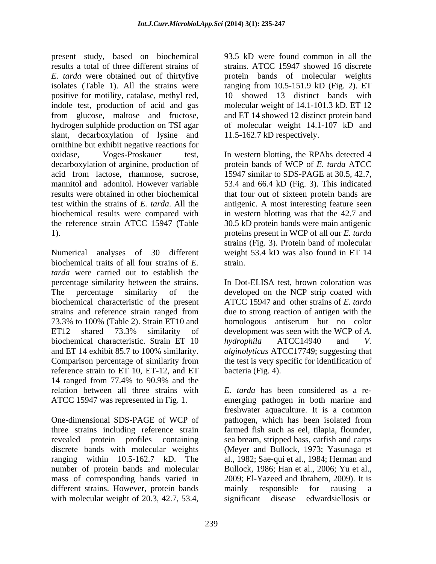present study, based on biochemical results a total of three different strains of strains. ATCC 15947 showed 16 discrete *E. tarda* were obtained out of thirtyfive protein bands of molecular weights isolates (Table 1). All the strains were ranging from 10.5-151.9 kD (Fig. 2). ET positive for motility, catalase, methyl red, indole test, production of acid and gas from glucose, maltose and fructose, and ET 14 showed 12 distinct protein band hydrogen sulphide production on TSI agar of molecular weight 14.1-107 kD and slant, decarboxylation of lysine and ornithine but exhibit negative reactions for oxidase, Voges-Proskauer test, In western blotting, the RPAbs detected 4 decarboxylation of arginine, production of acid from lactose, rhamnose, sucrose, 15947 similar to SDS-PAGE at 30.5, 42.7, mannitol and adonitol. However variable 53.4 and 66.4 kD (Fig. 3). This indicated results were obtained in other biochemical that four out of sixteen protein bands are test within the strains of *E. tarda*. All the antigenic.A most interesting feature seen biochemical results were compared with in western blotting was that the 42.7 and the reference strain ATCC 15947 (Table 30.5 kD protein bands were main antigenic

Numerical analyses of 30 different weight 53.4 kD was also found in ET 14 biochemical traits of all four strains of *E. tarda* were carried out to establish the percentage similarity between the strains. In Dot-ELISA test, brown coloration was The percentage similarity of the developed on the NCP strip coated with biochemical characteristic of the present ATCC 15947 and other strains of *E. tarda* strains and reference strain ranged from due to strong reaction of antigen with the 73.3% to 100% (Table 2). Strain ET10 and homologous antiserum but no color ET12 shared 73.3% similarity of development was seen with the WCP of A. biochemical characteristic. Strain ET 10 *hydrophila* ATCC14940 and V. and ET 14 exhibit 85.7 to 100% similarity. *alginolyticus* ATCC17749; suggesting that Comparison percentage of similarity from the test is very specific for identification of reference strain to ET 10, ET-12, and ET 14 ranged from 77.4% to 90.9% and the relation between all three strains with *E. tarda* has been considered as a re- ATCC 15947 was represented in Fig. 1. emerging pathogen in both marine and

One-dimensional SDS-PAGE of WCP of three strains including reference strain farmed fish such as eel, tilapia, flounder, revealed protein profiles containing sea bream, stripped bass, catfish and carps discrete bands with molecular weights (Meyer and Bullock, 1973; Yasunaga et ranging within 10.5-162.7 kD. The al., 1982; Sae-qui et al., 1984; Herman and number of protein bands and molecular mass of corresponding bands varied in 2009; El-Yazeed and Ibrahem, 2009). It is different strains. However, protein bands mainly responsible for causing with molecular weight of 20.3, 42.7, 53.4, significant disease edwardsiellosis or

93.5 kD were found common in all the 10 showed 13 distinct bands with molecular weight of 14.1-101.3 kD. ET 12 11.5-162.7 kD respectively.

1). proteins present in WCP of all our *E. tarda* protein bands of WCP of *E. tarda* ATCC strains (Fig. 3). Protein band of molecular strain.

> due to strong reaction of antigen with the development was seen with the WCP of *A. hydrophila* ATCC14940 and *V.*  the test is very specific for identification of bacteria (Fig. 4).

freshwater aquaculture. It is a common pathogen, which has been isolated from Bullock, 1986; Han et al., 2006; Yu et al., mainly responsible for causing a significant disease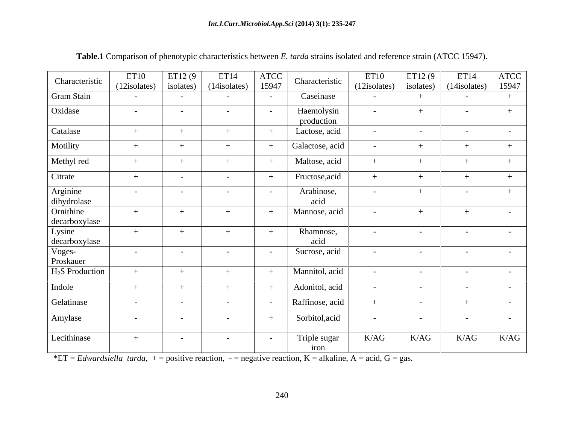| Characteristic             | ET10            |                | $\begin{array}{ c c c c c c } \hline \text{ET12 (9} & \text{ET14} & \text{ATCC} \\ \hline \text{isolates)} & \text{(14isolates)} & \text{15947} \\ \hline \end{array}$ |               | Characteristic           | ET10                    | ET12 (9         | $\left  \begin{array}{c} \text{ET14} \\ \text{(14isolates)} \end{array} \right $ ATCC | ATCC                 |
|----------------------------|-----------------|----------------|------------------------------------------------------------------------------------------------------------------------------------------------------------------------|---------------|--------------------------|-------------------------|-----------------|---------------------------------------------------------------------------------------|----------------------|
|                            | $(12$ isolates) |                |                                                                                                                                                                        |               |                          | $(12 \times)$ isolates) |                 |                                                                                       |                      |
| <b>Gram Stain</b>          | $\sim$ $-$      | $\sim$ $-$     | $\sim$ $-$                                                                                                                                                             |               | Caseinase                |                         | $+$             | $\sim$                                                                                |                      |
| Oxidase                    | $ -$            | $\sim$ $-$     | $\sim$ $-$                                                                                                                                                             | $\sim$        | Haemolysin<br>production | $\sim$ $  -$            | $+$             | $\sim$ $-$                                                                            | $+$                  |
| Catalase                   | $+$             |                |                                                                                                                                                                        |               | Lactose, acid            | $\sim$ $  -$            | $\sim$ $ \sim$  | $\sim$                                                                                | $\sim$               |
| Motility                   | $+$             | $+$            |                                                                                                                                                                        |               | Galactose, acid          | $\sim$                  | $+$             |                                                                                       |                      |
| Methyl red                 | $+$             | $+$            |                                                                                                                                                                        |               | Maltose, acid            |                         | $+$             |                                                                                       |                      |
| Citrate                    | $+$             | $\sim$ $ -$    | $\sim$ $-$                                                                                                                                                             |               | Fructose, acid           |                         | $+$             |                                                                                       |                      |
|                            | $\sim$          | $\sim$ $-$     | $\sim$                                                                                                                                                                 |               | Arabinose,               | $\sim$ $-$              | $+$             | $\sim$                                                                                | $+$                  |
| Arginine<br>dihydrolase    |                 |                |                                                                                                                                                                        |               | acid                     |                         |                 |                                                                                       |                      |
| Ornithine<br>decarboxylase | $+$             | $+$            |                                                                                                                                                                        |               | Mannose, acid            | $\sim$                  | $+$             |                                                                                       | $\sim$ $-$           |
| Lysine<br>decarboxylase    | $+$             | $+$            |                                                                                                                                                                        |               | Rhamnose,                | $\sim$ $ \sim$          | $\sim$ $-$      | $\sim$ $-$                                                                            | $\sim$ $-$           |
|                            |                 |                | $\sim$ $\sim$                                                                                                                                                          | $\sim$ $\sim$ | acid                     |                         |                 | $\sim$                                                                                |                      |
| Voges-<br>Proskauer        | $ -$            | $\sim$         |                                                                                                                                                                        |               | Sucrose, acid            | $\sim$ $  -$            | $\sim$ $-$      |                                                                                       | $\sim$ $-$           |
| $H2S$ Production           | $+$             | $+$            |                                                                                                                                                                        |               | Mannitol, acid           | $\sim$ $  -$            | $\sim$ $ \sim$  | <b>Contract Contract State</b>                                                        | $\sim$ $-$           |
| Indole                     | $+$             | $+$            |                                                                                                                                                                        |               | Adonitol, acid           | $\sim$ $\sim$           | $\sim$ $ \sim$  | $\sim$ $-$                                                                            | $\sim$ $-$           |
| Gelatinase                 | $\sim$ $ \sim$  | $\sim$ $ \sim$ | $\sim$ $-$                                                                                                                                                             | $\sim$ $-$    | Raffinose, acid          |                         | $\sim$ $  \sim$ |                                                                                       | $\sim$ $-$           |
| Amylase                    | $\sim$ $-$      | $\sim$ $-$     | $\sim$ $-$                                                                                                                                                             |               | Sorbitol, acid           | $\sim$ $ -$             | $\sim$ $ \sim$  | <b>Contract Contract State</b>                                                        | $\sim 100$ m $^{-1}$ |
|                            |                 |                |                                                                                                                                                                        |               |                          |                         |                 |                                                                                       |                      |
| Lecithinase                | $+$             | $\sim$ $-$     | $\sim$                                                                                                                                                                 |               | Triple sugar<br>iron     | K/AG                    | K/AG            | K/AG                                                                                  | K/AG                 |

| Table.1 ( | Comparison of phenotypic characteristics between $E_{\epsilon}$ .<br>E. <i>tarda</i> strains isolated and reference s | $\cdot$ strain (ATCC 15947). |  |
|-----------|-----------------------------------------------------------------------------------------------------------------------|------------------------------|--|
|           |                                                                                                                       |                              |  |

\*ET = *Edwardsiella tarda*, + = positive reaction, - = negative reaction, K = alkaline, A = acid, G = gas.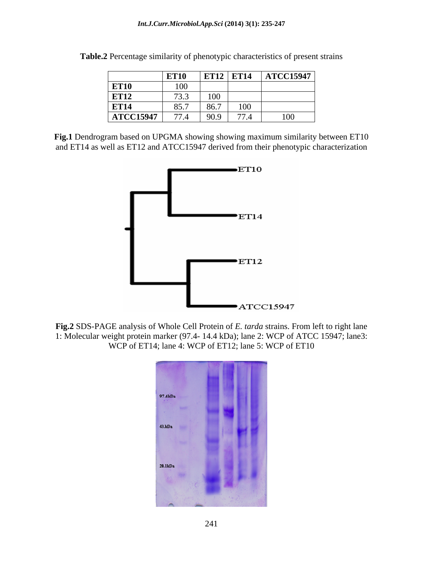|                  | <b>ET10</b>         | ET12<br><b>ELA</b> | FT14<br>LII.           | <b>ATCC15947</b> |
|------------------|---------------------|--------------------|------------------------|------------------|
| <b>ET10</b>      | 100                 |                    |                        |                  |
| <b>ET12</b>      | $\Box$<br>.         | 100                |                        |                  |
| <b>ET14</b>      | 85.7                | 86.7               | 100                    |                  |
| <b>ATCC15947</b> | $\overline{a}$<br>. | 90.9               | $\overline{a}$<br>77.T | 100              |

**Table.2** Percentage similarity of phenotypic characteristics of present strains

**Fig.1** Dendrogram based on UPGMA showing showing maximum similarity between ET10 and ET14 as well as ET12 and ATCC15947 derived from their phenotypic characterization



**Fig.2** SDS-PAGE analysis of Whole Cell Protein of *E. tarda* strains. From left to right lane 1: Molecular weight protein marker (97.4- 14.4 kDa); lane 2: WCP of ATCC 15947; lane3: WCP of ET14; lane 4: WCP of ET12; lane 5: WCP of ET10

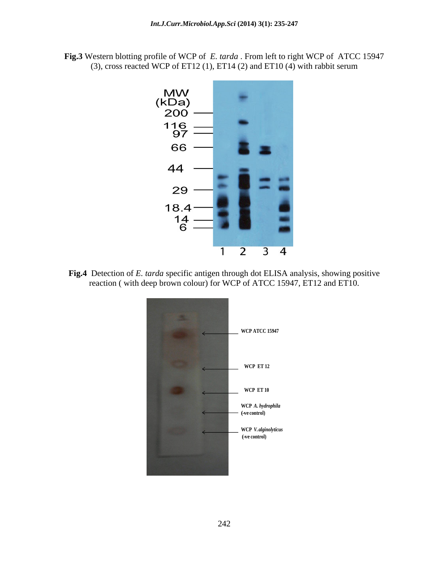**Fig.3** Western blotting profile of WCP of *E. tarda* . From left to right WCP of ATCC 15947 (3), cross reacted WCP of ET12 (1), ET14 (2) and ET10 (4) with rabbit serum



**Fig.4** Detection of *E. tarda* specific antigen through dot ELISA analysis, showing positive reaction ( with deep brown colour) for WCP of ATCC 15947, ET12 and ET10.

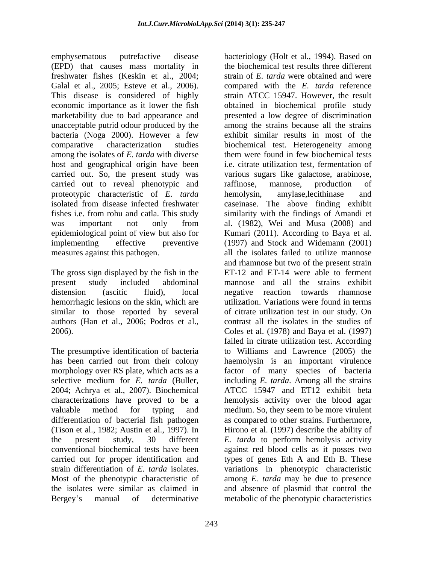emphysematous putrefactive disease bacteriology (Holt et al., 1994). Based on (EPD) that causes mass mortality in freshwater fishes (Keskin et al., 2004; unacceptable putrid odour produced by the bacteria (Noga 2000). However a few among the isolates of *E. tarda* with diverse host and geographical origin have been carried out to reveal phenotypic and raffinose, mannose, production of proteotypic characteristic of *E. tarda*

hemorrhagic lesions on the skin, which are similar to those reported by several

selective medium for *E. tarda* (Buller, 2004; Achrya et al., 2007). Biochemical differentiation of bacterial fish pathogen Most of the phenotypic characteristic of

Galal et al., 2005; Esteve et al., 2006). compared with the *E. tarda* reference This disease is considered of highly strain ATCC 15947. However, the result economic importance as it lower the fish obtained in biochemical profile study marketability due to bad appearance and presented a low degree of discrimination comparative characterization studies biochemical test. Heterogeneity among carried out. So, the present study was various sugars like galactose, arabinose, isolated from disease infected freshwater caseinase. The above finding exhibit fishes i.e. from rohu and catla. This study similarity with the findings of Amandi et was important not only from al. (1982), Wei and Musa (2008) and epidemiological point of view but also for Kumari (2011). According to Baya et al. implementing effective preventive (1997) and Stock and Widemann (2001) measures against this pathogen. all the isolates failed to utilize mannose and rhamnose but two of the present strain<br>The gross sign displayed by the fish in the ET-12 and ET-14 were able to ferment present study included abdominal mannose and all the strains exhibit distension (ascitic fluid), local negative reaction towards rhamnose authors (Han et al., 2006; Podros et al., contrast all the isolates in the studies of 2006). Coles et al. (1978) and Baya et al. (1997) The presumptive identification of bacteria to Williams and Lawrence (2005) the has been carried out from their colony haemolysin is an important virulence morphology over RS plate, which acts as a factor of many species of bacteria characterizations have proved to be a hemolysis activity over the blood agar valuable method for typing and medium. So, they seem to be more virulent (Tison et al., 1982; Austin et al., 1997). In Hirono et al. (1997) describe the ability of the present study, 30 different *E. tarda* to perform hemolysis activity conventional biochemical tests have been against red blood cells as it posses two carried out for proper identification and types of genes Eth A and Eth B. These strain differentiation of *E. tarda* isolates. variations in phenotypic characteristic the isolates were similar as claimed in and absence of plasmid that control the Bergey's manual of determinative metabolic of the phenotypic characteristics the biochemical test results three different strain of *E. tarda* were obtained and were among the strains because all the strains exhibit similar results in most of the them were found in few biochemical tests i.e. citrate utilization test, fermentation of raffinose, mannose, production of hemolysin, amylase,lecithinase and al. (1982), Wei and Musa (2008) and and rhamnose but two of the present strain ET-12 and ET-14 were able to ferment utilization. Variations were found in terms of citrate utilization test in our study. On failed in citrate utilization test. According including *E. tarda*. Among all the strains ATCC 15947 and ET12 exhibit beta as compared to other strains. Furthermore, among *E. tarda* may be due to presence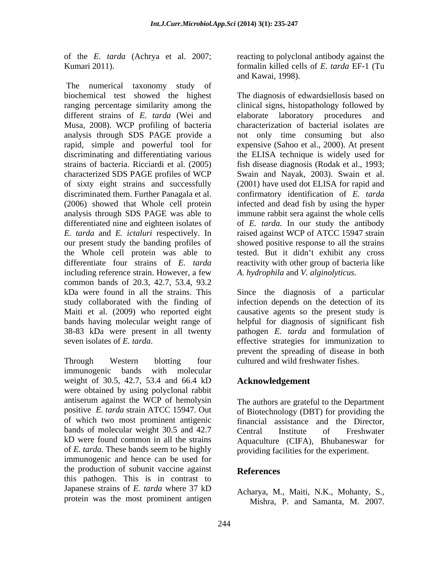of the *E. tarda* (Achrya et al. 2007;

The numerical taxonomy study of biochemical test showed the highest The diagnosis of edwardsiellosis based on ranging percentage similarity among the different strains of *E. tarda* (Wei and Musa, 2008). WCP profiling of bacteria analysis through SDS PAGE provide a not only time consuming but also rapid, simple and powerful tool for expensive (Sahoo et al., 2000). At present discriminating and differentiating various the ELISA technique is widely used for strains of bacteria. Ricciardi et al. (2005) fish disease diagnosis (Rodak et al., 1993; characterized SDS PAGE profiles of WCP Swain and Nayak, 2003). Swain et al. of sixty eight strains and successfully discriminated them. Further Panagala et al. confirmatory identification of *E. tarda* (2006) showed that Whole cell protein infected and dead fish by using the hyper analysis through SDS PAGE was able to immune rabbit seraagainst the whole cells differentiated nine and eighteen isolates of of *E. tarda.* In our study the antibody *E. tarda* and *E. ictaluri* respectively. In raised against WCP of ATCC 15947 strain our present study the banding profiles of showed positive response to all the strains the Whole cell protein was able to tested. But it didn't exhibit any cross differentiate four strains of *E. tarda* reactivity with other group of bacteria like including reference strain. However, a few common bands of 20.3, 42.7, 53.4, 93.2 kDa were found in all the strains. This Since the diagnosis of a particular study collaborated with the finding of infection depends on the detection of its Maiti et al. (2009) who reported eight causative agents so the present study is bands having molecular weight range of helpful for diagnosis of significant fish 38-83 kDa were present in all twenty pathogen *E. tarda* and formulation of

Through Western blotting four cultured and wild freshwater fishes. immunogenic bands with molecular weight of 30.5, 42.7, 53.4 and 66.4 kD were obtained by using polyclonal rabbit antiserum against the WCP of hemolysin of which two most prominent antigenic bands of molecular weight 30.5 and 42.7 Central Institute of Freshwater of *E. tarda.* These bands seem to be highly immunogenic and hence can be used for the production of subunit vaccine against **References** this pathogen. This is in contrast to Japanese strains of *E. tarda* where 37 kD protein was the most prominent antigen

Kumari 2011). formalin killed cells of *E. tarda* EF-1 (Tu reacting to polyclonal antibody against the and Kawai, 1998).

> clinical signs, histopathology followed by elaborate laboratory procedures characterization of bacterial isolates are (2001) have used dot ELISA for rapid and *A. hydrophila* and *V. alginolyticus.*

seven isolates of *E. tarda*. effective strategies for immunization to prevent the spreading of disease in both

# **Acknowledgement**

positive *E. tarda* strain ATCC 15947. Out of Biotechnology (DBT) for providing the kD were found common in all the strains Aquaculture (CIFA), Bhubaneswar for The authors are grateful to the Department financial assistance and the Director, Central Institute of Freshwater providing facilities for the experiment.

### **References**

Acharya, M., Maiti, N.K., Mohanty, S., Mishra, P. and Samanta, M. 2007.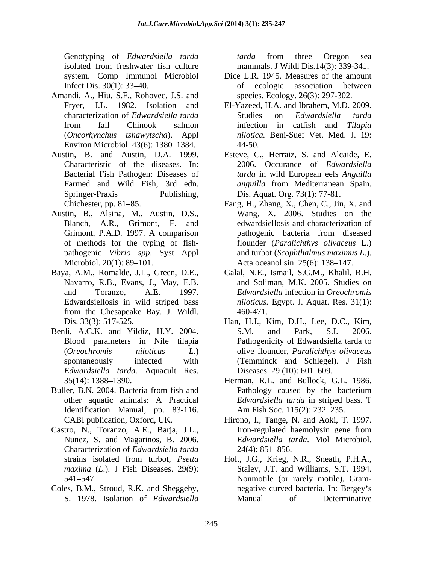Genotyping of *Edwardsiella tarda tarda from three Oregon sea* isolated from freshwater fish culture mammals. J Wildl Dis. 14(3): 339-341. system. Comp Immunol Microbiol

- Amandi, A., Hiu, S.F., Rohovec, J.S. and Environ Microbiol. 43(6): 1380–1384. 44-50.
- Austin, B. and Austin, D.A. 1999. Esteve, C., Herraiz, S. and Alcaide, E. Springer-Praxis Publishing, Dis. Aquat. Org. 73(1): 77-81.
- Austin, B., Alsina, M., Austin, D.S.,
- Baya, A.M., Romalde, J.L., Green, D.E., Navarro, R.B., Evans, J., May, E.B. from the Chesapeake Bay. J. Wildl.
- Benli, A.C.K. and Yildiz, H.Y. 2004. *Edwardsiella tarda.* Aquacult Res.
- Buller, B.N. 2004. Bacteria from fish and Identification Manual*,* pp. 83-116.
- Castro, N., Toranzo, A.E., Barja, J.L., Characterization of *Edwardsiella tarda*
- Coles, B.M., Stroud, R.K. and Sheggeby,

*tarda* from three Oregon sea mammals. J Wildl Dis*.*14(3): 339-341.

- Infect Dis. 30(1): 33–40. The of ecologic association between Dice L.R. 1945. Measures of the amount species. Ecology. 26(3): 297-302.
- Fryer, J.L. 1982. Isolation and El-Yazeed, H.A. and Ibrahem, M.D. 2009. characterization of *Edwardsiella tarda* from fall Chinook salmon infection in catfish and Tilapia (*Oncorhynchus tshawytscha*). Appl *nilotica.* Beni-Suef Vet. Med. J. 19: Studies on *Edwardsiella tarda* infection in catfish and *Tilapia*  44-50.
- Characteristic of the diseases. In: 2006. Occurance of *Edwardsiella*  Bacterial Fish Pathogen: Diseases of *tarda* in wild European eels *Anguilla*  Farmed and Wild Fish, 3rd edn. *anguilla* from Mediterranean Spain.
- Chichester, pp. 81–85. Fang, H., Zhang, X., Chen, C., Jin, X. and Blanch, A.R., Grimont, F. and edwardsiellosis and characterization of Grimont, P.A.D. 1997. A comparison pathogenic bacteria from diseased of methods for the typing of fish- flounder (*Paralichthys olivaceus* L.) pathogenic *Vibrio spp*. Syst Appl and turbot (*Scophthalmus maximus L*.). Microbiol. 20(1): 89–101. Acta oceanol sin. 25(6): 138–147. Wang, X. 2006. Studies on the pathogenic bacteria from diseased
- and Toranzo, A.E. 1997. *Edwardsiella* infection in *Oreochromis*  Edwardsiellosis in wild striped bass *niloticus.* Egypt. J. Aquat. Res. 31(1): Galal, N.E., Ismail, S.G.M., Khalil, R.H. and Soliman, M.K. 2005. Studies on 460-471.
- Dis. 33(3): 517-525. Han, H.J., Kim, D.H., Lee, D.C., Kim, Blood parameters in Nile tilapia Pathogenicity of Edwardsiella tarda to (*Oreochromis niloticus L*.) olive flounder, *Paralichthys olivaceus* spontaneously infected with (Temminck and Schlegel). J Fish S.M. and Park, S.I. 2006. Diseases. 29 (10): 601–609.
- 35(14): 1388 1390. Herman, R.L. and Bullock, G.L. 1986. other aquatic animals: A Practical *Edwardsiella tarda* in striped bass. T Pathology caused by the bacterium *Edwardsiella tarda* in striped bass. T Am Fish Soc. 115(2): 232–235.
- CABI publication, Oxford, UK. Hirono, I., Tange, N. and Aoki, T. 1997. Nunez, S. and Magarinos, B. 2006. *Edwardsiella tarda*. Mol Microbiol. Iron-regulated haemolysin gene from  $24(4)$ : 851–856.
- strains isolated from turbot, *Psetta*  Holt, J.G., Krieg, N.R., Sneath, P.H.A., *maxima* (*L*.)*.* J Fish Diseases. 29(9): Staley, J.T. and Williams, S.T. 1994. 541 547. Nonmotile (or rarely motile), Gram- S. 1978. Isolation of *Edwardsiella*  negative curved bacteria. In: Bergey s Manual of Determinative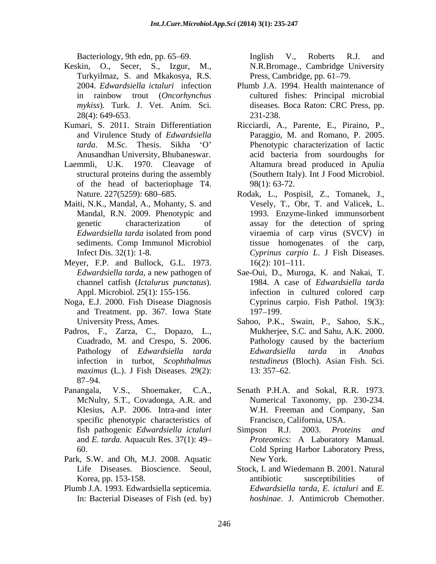- Keskin, O., Secer, S., Izgur, M., Turkyilmaz, S. and Mkakosya, R.S. 28(4): 649-653.
- 
- of the head of bacteriophage T4.
- Maiti, N.K., Mandal, A., Mohanty, S. and
- Meyer, F.P. and Bullock, G.L. 1973. 16(2): 101–111.
- Noga, E.J. 2000. Fish Disease Diagnosis and Treatment. pp. 367. Iowa State
- Padros, F., Zarza, C., Dopazo, L., infection in turbot, *Scophthalmus maximus* (L.). J Fish Diseases. 29(2): 87 94.
- specific phenotypic characteristics of
- Park, S.W. and Oh, M.J. 2008. Aquatic New York.
- Plumb J.A. 1993. Edwardsiella septicemia. In: Bacterial Diseases of Fish (ed. by)

Bacteriology, 9th edn, pp. 65–69. Inglish V., Roberts R.J. and Inglish V., Roberts R.J. and N.R.Bromage., Cambridge University Press, Cambridge, pp. 61–79.

- 2004. *Edwardsiella ictaluri* infection Plumb J.A. 1994. Health maintenance of in rainbow trout (*Oncorhynchus*  cultured fishes: Principal microbial *mykiss*). Turk. J. Vet. Anim. Sci. diseases*.* Boca Raton: CRC Press, pp. 231-238.
- Kumari, S. 2011. Strain Differentiation Ricciardi, A., Parente, E., Piraino, P., and Virulence Study of *Edwardsiella*  Paraggio, M. and Romano, P. 2005. tarda. M.Sc. Thesis. Sikha 'O' Phenotypic characterization of lactic Anusandhan University, Bhubaneswar. Laemmli, U.K. 1970. Cleavage of Altamura bread produced in Apulia structural proteins during the assembly (Southern Italy). Int JFood Microbiol. acid bacteria from sourdoughs for 98(1): 63-72.
	- Nature. 227(5259): 680 685. Rodak, L., Pospisil, Z., Tomanek, J., Mandal, R.N. 2009. Phenotypic and 1993. Enzyme-linked immunsorbent genetic characterization of assay for the detection of spring *Edwardsiella tarda* isolated from pond viraemia of carp virus (SVCV) in sediments. Comp Immunol Microbiol tissue homogenates of the carp, Infect Dis. 32(1): 1-8. *Cyprinus carpio L*. J Fish Diseases. Vesely, T., Obr, T. and Valicek, L.  $16(2): 101-111.$
	- *Edwardsiella tarda*, a new pathogen of Sae-Oui, D., Muroga, K. and Nakai, T. channel catfish (*Ictalurus punctatus*). 1984. A case of *Edwardsiella tarda* Appl. Microbiol. 25(1): 155-156. infection in cultured colored carp Cyprinus carpio. Fish Pathol. 19(3): 197–199.
	- University Press, Ames. Sahoo, P.K., Swain, P., Sahoo, S.K., Cuadrado, M. and Crespo, S. 2006. Pathology of *Edwardsiella tarda* Mukherjee, S.C. and Sahu, A.K. 2000. Pathology caused by the bacterium *Edwardsiella tarda* in *Anabas testudineus* (Bloch). Asian Fish. Sci. 13: 357 62.
- Panangala, V.S., Shoemaker, C.A., Senath P.H.A. and Sokal, R.R. 1973. McNulty, S.T., Covadonga, A.R. and Numerical Taxonomy, pp. 230-234. Klesius, A.P. 2006. Intra-and inter W.H. Freeman and Company, San Francisco, California, USA.
	- fish pathogenic *Edwardsiella ictaluri* and *E. tarda*. Aquacult Res. 37(1): 49 *Proteomics*: A Laboratory Manual. 60. Cold Spring Harbor Laboratory Press, Simpson R.J. 2003. *Proteins and* New York.
	- Life Diseases*.* Bioscience. Seoul, Stock, I. and Wiedemann B. 2001. Natural Korea, pp. 153-158. The anti-set of the anti-set of the susceptibilities of the susceptibilities of the susceptibilities of the susceptibilities of the susceptibilities of the susceptibilities of the susceptibilities of th antibiotic susceptibilities of *Edwardsiella tarda, E. ictaluri* and *E. hoshinae*. J. Antimicrob Chemother.